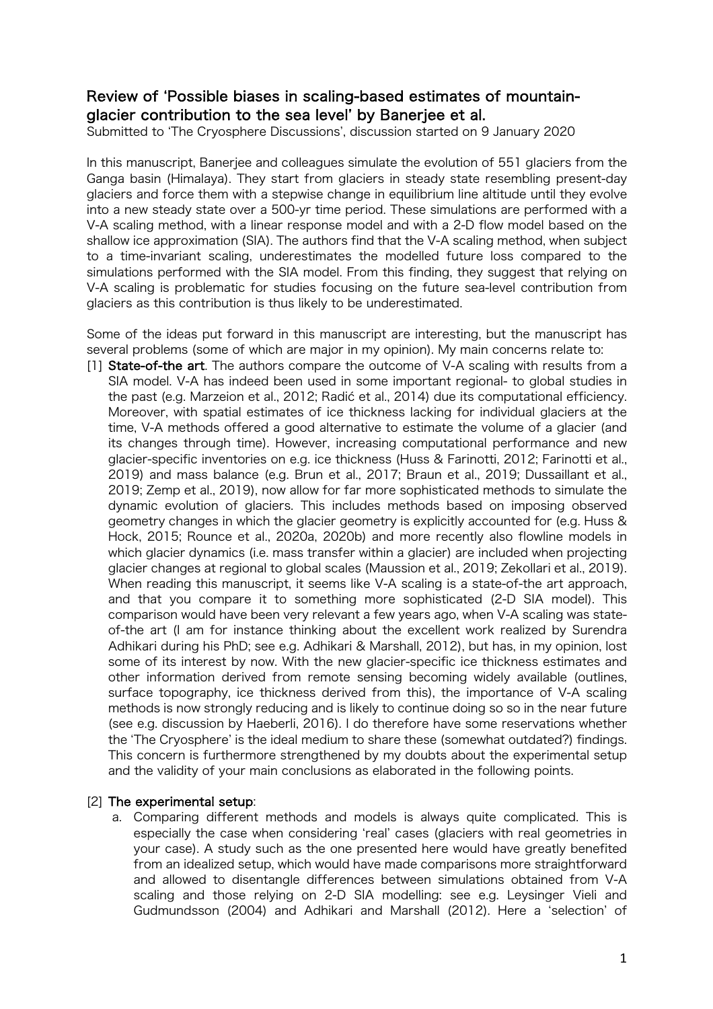## Review of ʻPossible biases in scaling-based estimates of mountainglacier contribution to the sea level' by Banerjee et al.

Submitted to ʻThe Cryosphere Discussions', discussion started on 9 January 2020

In this manuscript, Banerjee and colleagues simulate the evolution of 551 glaciers from the Ganga basin (Himalaya). They start from glaciers in steady state resembling present-day glaciers and force them with a stepwise change in equilibrium line altitude until they evolve into a new steady state over a 500-yr time period. These simulations are performed with a V-A scaling method, with a linear response model and with a 2-D flow model based on the shallow ice approximation (SIA). The authors find that the V-A scaling method, when subject to a time-invariant scaling, underestimates the modelled future loss compared to the simulations performed with the SIA model. From this finding, they suggest that relying on V-A scaling is problematic for studies focusing on the future sea-level contribution from glaciers as this contribution is thus likely to be underestimated.

Some of the ideas put forward in this manuscript are interesting, but the manuscript has several problems (some of which are major in my opinion). My main concerns relate to:

[1] State-of-the art. The authors compare the outcome of V-A scaling with results from a SIA model. V-A has indeed been used in some important regional- to global studies in the past (e.g. Marzeion et al., 2012; Radić et al., 2014) due its computational efficiency. Moreover, with spatial estimates of ice thickness lacking for individual glaciers at the time, V-A methods offered a good alternative to estimate the volume of a glacier (and its changes through time). However, increasing computational performance and new glacier-specific inventories on e.g. ice thickness (Huss & Farinotti, 2012; Farinotti et al., 2019) and mass balance (e.g. Brun et al., 2017; Braun et al., 2019; Dussaillant et al., 2019; Zemp et al., 2019), now allow for far more sophisticated methods to simulate the dynamic evolution of glaciers. This includes methods based on imposing observed geometry changes in which the glacier geometry is explicitly accounted for (e.g. Huss & Hock, 2015; Rounce et al., 2020a, 2020b) and more recently also flowline models in which glacier dynamics (i.e. mass transfer within a glacier) are included when projecting glacier changes at regional to global scales (Maussion et al., 2019; Zekollari et al., 2019). When reading this manuscript, it seems like V-A scaling is a state-of-the art approach, and that you compare it to something more sophisticated (2-D SIA model). This comparison would have been very relevant a few years ago, when V-A scaling was stateof-the art (I am for instance thinking about the excellent work realized by Surendra Adhikari during his PhD; see e.g. Adhikari & Marshall, 2012), but has, in my opinion, lost some of its interest by now. With the new glacier-specific ice thickness estimates and other information derived from remote sensing becoming widely available (outlines, surface topography, ice thickness derived from this), the importance of V-A scaling methods is now strongly reducing and is likely to continue doing so so in the near future (see e.g. discussion by Haeberli, 2016). I do therefore have some reservations whether the ʻThe Cryosphere' is the ideal medium to share these (somewhat outdated?) findings. This concern is furthermore strengthened by my doubts about the experimental setup and the validity of your main conclusions as elaborated in the following points.

## [2] The experimental setup:

a. Comparing different methods and models is always quite complicated. This is especially the case when considering ʻreal' cases (glaciers with real geometries in your case). A study such as the one presented here would have greatly benefited from an idealized setup, which would have made comparisons more straightforward and allowed to disentangle differences between simulations obtained from V-A scaling and those relying on 2-D SIA modelling: see e.g. Leysinger Vieli and Gudmundsson (2004) and Adhikari and Marshall (2012). Here a ʻselection' of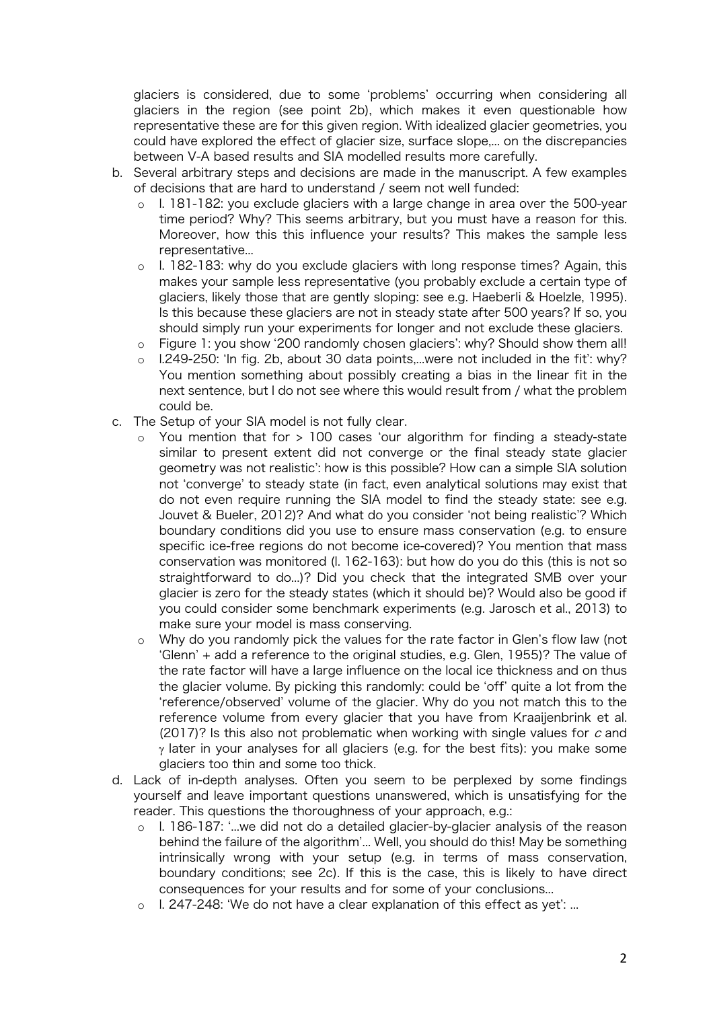glaciers is considered, due to some ʻproblems' occurring when considering all glaciers in the region (see point 2b), which makes it even questionable how representative these are for this given region. With idealized glacier geometries, you could have explored the effect of glacier size, surface slope,... on the discrepancies between V-A based results and SIA modelled results more carefully.

- b. Several arbitrary steps and decisions are made in the manuscript. A few examples of decisions that are hard to understand / seem not well funded:
	- o l. 181-182: you exclude glaciers with a large change in area over the 500-year time period? Why? This seems arbitrary, but you must have a reason for this. Moreover, how this this influence your results? This makes the sample less representative...
	- $\circ$  1. 182-183: why do you exclude glaciers with long response times? Again, this makes your sample less representative (you probably exclude a certain type of glaciers, likely those that are gently sloping: see e.g. Haeberli & Hoelzle, 1995). Is this because these glaciers are not in steady state after 500 years? If so, you should simply run your experiments for longer and not exclude these glaciers.
	- o Figure 1: you show ʻ200 randomly chosen glaciers': why? Should show them all!
	- $\circ$  1.249-250: 'In fig. 2b, about 30 data points,...were not included in the fit': why? You mention something about possibly creating a bias in the linear fit in the next sentence, but I do not see where this would result from / what the problem could be.
- c. The Setup of your SIA model is not fully clear.
	- $\circ$  You mention that for  $> 100$  cases 'our algorithm for finding a steady-state similar to present extent did not converge or the final steady state glacier geometry was not realistic': how is this possible? How can a simple SIA solution not ʻconverge' to steady state (in fact, even analytical solutions may exist that do not even require running the SIA model to find the steady state: see e.g. Jouvet & Bueler, 2012)? And what do you consider ʻnot being realistic'? Which boundary conditions did you use to ensure mass conservation (e.g. to ensure specific ice-free regions do not become ice-covered)? You mention that mass conservation was monitored (l. 162-163): but how do you do this (this is not so straightforward to do...)? Did you check that the integrated SMB over your glacier is zero for the steady states (which it should be)? Would also be good if you could consider some benchmark experiments (e.g. Jarosch et al., 2013) to make sure your model is mass conserving.
	- o Why do you randomly pick the values for the rate factor in Glen's flow law (not ʻGlenn' + add a reference to the original studies, e.g. Glen, 1955)? The value of the rate factor will have a large influence on the local ice thickness and on thus the glacier volume. By picking this randomly: could be ʻoff' quite a lot from the ʻreference/observed' volume of the glacier. Why do you not match this to the reference volume from every glacier that you have from Kraaijenbrink et al. (2017)? Is this also not problematic when working with single values for  $c$  and  $\gamma$  later in your analyses for all glaciers (e.g. for the best fits): you make some glaciers too thin and some too thick.
- d. Lack of in-depth analyses. Often you seem to be perplexed by some findings yourself and leave important questions unanswered, which is unsatisfying for the reader. This questions the thoroughness of your approach, e.g.:
	- o l. 186-187: ʻ...we did not do a detailed glacier-by-glacier analysis of the reason behind the failure of the algorithm'... Well, you should do this! May be something intrinsically wrong with your setup (e.g. in terms of mass conservation, boundary conditions; see 2c). If this is the case, this is likely to have direct consequences for your results and for some of your conclusions...
	- $\circ$  I. 247-248: 'We do not have a clear explanation of this effect as yet': ...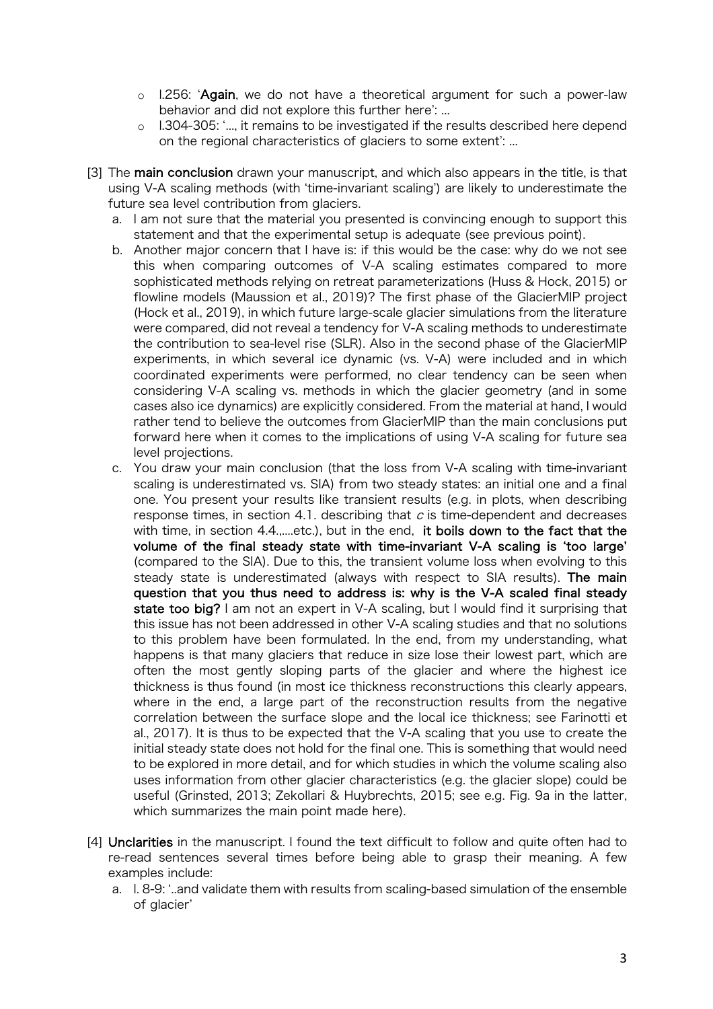- $\circ$  1.256: 'Again, we do not have a theoretical argument for such a power-law behavior and did not explore this further here': ...
- $\circ$  1.304-305:  $\dot{ }$ ..., it remains to be investigated if the results described here depend on the regional characteristics of glaciers to some extent': ...
- [3] The main conclusion drawn your manuscript, and which also appears in the title, is that using V-A scaling methods (with ʻtime-invariant scaling') are likely to underestimate the future sea level contribution from glaciers.
	- a. I am not sure that the material you presented is convincing enough to support this statement and that the experimental setup is adequate (see previous point).
	- b. Another major concern that I have is: if this would be the case: why do we not see this when comparing outcomes of V-A scaling estimates compared to more sophisticated methods relying on retreat parameterizations (Huss & Hock, 2015) or flowline models (Maussion et al., 2019)? The first phase of the GlacierMIP project (Hock et al., 2019), in which future large-scale glacier simulations from the literature were compared, did not reveal a tendency for V-A scaling methods to underestimate the contribution to sea-level rise (SLR). Also in the second phase of the GlacierMIP experiments, in which several ice dynamic (vs. V-A) were included and in which coordinated experiments were performed, no clear tendency can be seen when considering V-A scaling vs. methods in which the glacier geometry (and in some cases also ice dynamics) are explicitly considered. From the material at hand, I would rather tend to believe the outcomes from GlacierMIP than the main conclusions put forward here when it comes to the implications of using V-A scaling for future sea level projections.
	- c. You draw your main conclusion (that the loss from V-A scaling with time-invariant scaling is underestimated vs. SIA) from two steady states: an initial one and a final one. You present your results like transient results (e.g. in plots, when describing response times, in section 4.1. describing that  $c$  is time-dependent and decreases with time, in section 4.4.,,,,etc.), but in the end, it boils down to the fact that the volume of the final steady state with time-invariant V-A scaling is ʻtoo large' (compared to the SIA). Due to this, the transient volume loss when evolving to this steady state is underestimated (always with respect to SIA results). The main question that you thus need to address is: why is the V-A scaled final steady state too big? I am not an expert in V-A scaling, but I would find it surprising that this issue has not been addressed in other V-A scaling studies and that no solutions to this problem have been formulated. In the end, from my understanding, what happens is that many glaciers that reduce in size lose their lowest part, which are often the most gently sloping parts of the glacier and where the highest ice thickness is thus found (in most ice thickness reconstructions this clearly appears, where in the end, a large part of the reconstruction results from the negative correlation between the surface slope and the local ice thickness; see Farinotti et al., 2017). It is thus to be expected that the V-A scaling that you use to create the initial steady state does not hold for the final one. This is something that would need to be explored in more detail, and for which studies in which the volume scaling also uses information from other glacier characteristics (e.g. the glacier slope) could be useful (Grinsted, 2013; Zekollari & Huybrechts, 2015; see e.g. Fig. 9a in the latter, which summarizes the main point made here).
- [4] Unclarities in the manuscript. I found the text difficult to follow and quite often had to re-read sentences several times before being able to grasp their meaning. A few examples include:
	- a. l. 8-9: ʻ..and validate them with results from scaling-based simulation of the ensemble of glacier'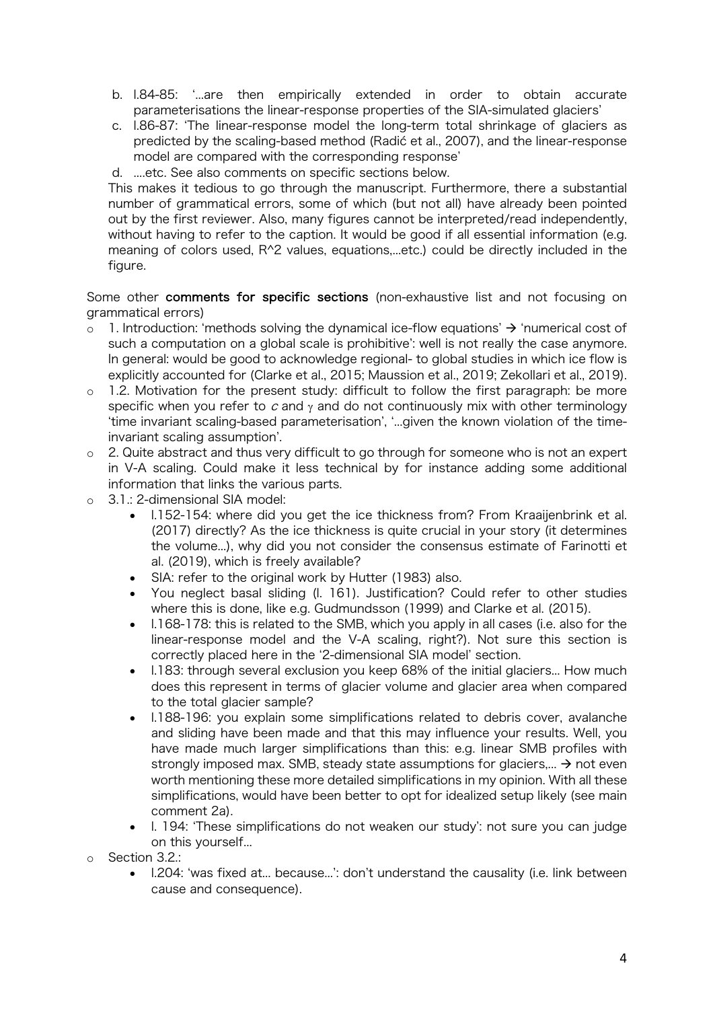- b. l.84-85: ʻ...are then empirically extended in order to obtain accurate parameterisations the linear-response properties of the SIA-simulated glaciers'
- c. l.86-87: ʻThe linear-response model the long-term total shrinkage of glaciers as predicted by the scaling-based method (Radić et al., 2007), and the linear-response model are compared with the corresponding response'
- d. ....etc. See also comments on specific sections below.

This makes it tedious to go through the manuscript. Furthermore, there a substantial number of grammatical errors, some of which (but not all) have already been pointed out by the first reviewer. Also, many figures cannot be interpreted/read independently, without having to refer to the caption. It would be good if all essential information (e.g. meaning of colors used, R^2 values, equations,...etc.) could be directly included in the figure.

Some other comments for specific sections (non-exhaustive list and not focusing on grammatical errors)

- o 1. Introduction: 'methods solving the dynamical ice-flow equations'  $\rightarrow$  'numerical cost of such a computation on a global scale is prohibitive': well is not really the case anymore. In general: would be good to acknowledge regional- to global studies in which ice flow is explicitly accounted for (Clarke et al., 2015; Maussion et al., 2019; Zekollari et al., 2019).
- $\circ$  1.2. Motivation for the present study: difficult to follow the first paragraph: be more specific when you refer to c and  $\gamma$  and do not continuously mix with other terminology ʻtime invariant scaling-based parameterisation', ʻ...given the known violation of the timeinvariant scaling assumption'.
- o 2. Quite abstract and thus very difficult to go through for someone who is not an expert in V-A scaling. Could make it less technical by for instance adding some additional information that links the various parts.
- o 3.1.: 2-dimensional SIA model:
	- l.152-154: where did you get the ice thickness from? From Kraaijenbrink et al. (2017) directly? As the ice thickness is quite crucial in your story (it determines the volume...), why did you not consider the consensus estimate of Farinotti et al. (2019), which is freely available?
	- SIA: refer to the original work by Hutter (1983) also.
	- You neglect basal sliding (l. 161). Justification? Could refer to other studies where this is done, like e.g. Gudmundsson (1999) and Clarke et al. (2015).
	- l.168-178: this is related to the SMB, which you apply in all cases (i.e. also for the linear-response model and the V-A scaling, right?). Not sure this section is correctly placed here in the ʻ2-dimensional SIA model' section.
	- l.183: through several exclusion you keep 68% of the initial glaciers... How much does this represent in terms of glacier volume and glacier area when compared to the total glacier sample?
	- l.188-196: you explain some simplifications related to debris cover, avalanche and sliding have been made and that this may influence your results. Well, you have made much larger simplifications than this: e.g. linear SMB profiles with strongly imposed max. SMB, steady state assumptions for glaciers,...  $\rightarrow$  not even worth mentioning these more detailed simplifications in my opinion. With all these simplifications, would have been better to opt for idealized setup likely (see main comment 2a).
	- l. 194: ʻThese simplifications do not weaken our study': not sure you can judge on this yourself...
- o Section 3.2.:
	- l.204: ʻwas fixed at... because...': don't understand the causality (i.e. link between cause and consequence).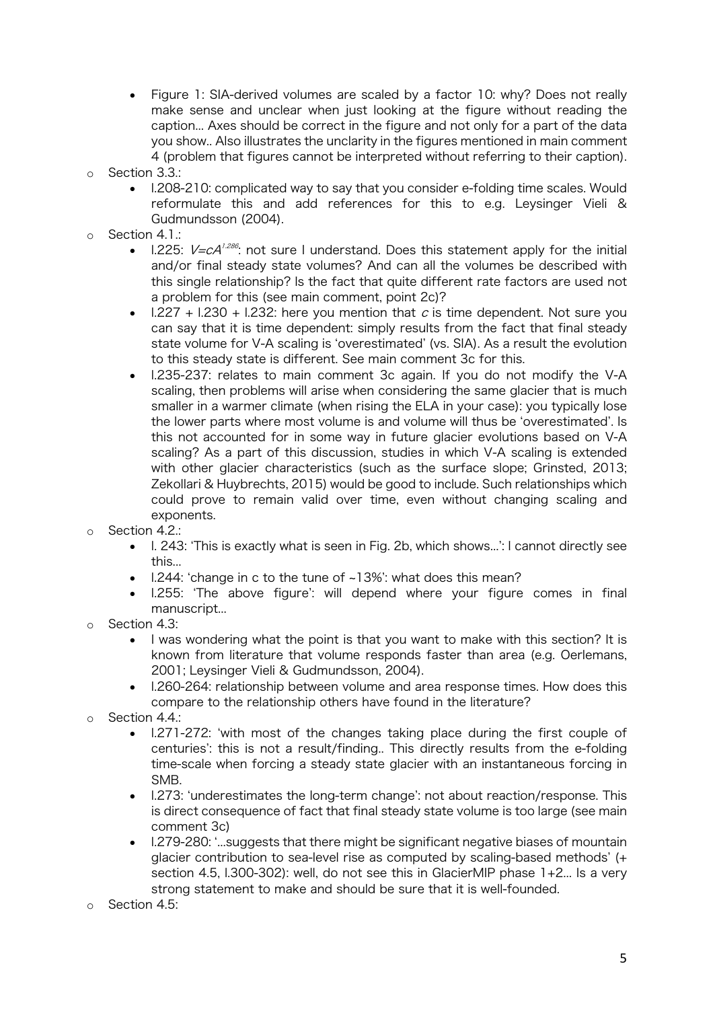- Figure 1: SIA-derived volumes are scaled by a factor 10: why? Does not really make sense and unclear when just looking at the figure without reading the caption... Axes should be correct in the figure and not only for a part of the data you show.. Also illustrates the unclarity in the figures mentioned in main comment 4 (problem that figures cannot be interpreted without referring to their caption).
- o Section 3.3.:
	- l.208-210: complicated way to say that you consider e-folding time scales. Would reformulate this and add references for this to e.g. Leysinger Vieli & Gudmundsson (2004).
- o Section 4.1.:
	- 1.225:  $V=cA^{1.286}$ : not sure I understand. Does this statement apply for the initial and/or final steady state volumes? And can all the volumes be described with this single relationship? Is the fact that quite different rate factors are used not a problem for this (see main comment, point 2c)?
	- l.227 + l.230 + l.232: here you mention that c is time dependent. Not sure you can say that it is time dependent: simply results from the fact that final steady state volume for V-A scaling is ʻoverestimated' (vs. SIA). As a result the evolution to this steady state is different. See main comment 3c for this.
	- l.235-237: relates to main comment 3c again. If you do not modify the V-A scaling, then problems will arise when considering the same glacier that is much smaller in a warmer climate (when rising the ELA in your case): you typically lose the lower parts where most volume is and volume will thus be ʻoverestimated'. Is this not accounted for in some way in future glacier evolutions based on V-A scaling? As a part of this discussion, studies in which V-A scaling is extended with other glacier characteristics (such as the surface slope; Grinsted, 2013; Zekollari & Huybrechts, 2015) would be good to include. Such relationships which could prove to remain valid over time, even without changing scaling and exponents.
- Section 4.2.:
	- l. 243: ʻThis is exactly what is seen in Fig. 2b, which shows...': I cannot directly see this...
	- l.244: ʻchange in c to the tune of ~13%': what does this mean?
	- l.255: ʻThe above figure': will depend where your figure comes in final manuscript...
- o Section 4.3:
	- I was wondering what the point is that you want to make with this section? It is known from literature that volume responds faster than area (e.g. Oerlemans, 2001; Leysinger Vieli & Gudmundsson, 2004).
	- l.260-264: relationship between volume and area response times. How does this compare to the relationship others have found in the literature?
- o Section 4.4.:
	- l.271-272: ʻwith most of the changes taking place during the first couple of centuries': this is not a result/finding.. This directly results from the e-folding time-scale when forcing a steady state glacier with an instantaneous forcing in SMB.
	- l.273: ʻunderestimates the long-term change': not about reaction/response. This is direct consequence of fact that final steady state volume is too large (see main comment 3c)
	- I.279-280: '...suggests that there might be significant negative biases of mountain glacier contribution to sea-level rise as computed by scaling-based methods' (+ section 4.5, l.300-302): well, do not see this in GlacierMIP phase 1+2... Is a very strong statement to make and should be sure that it is well-founded.
- o Section 4.5: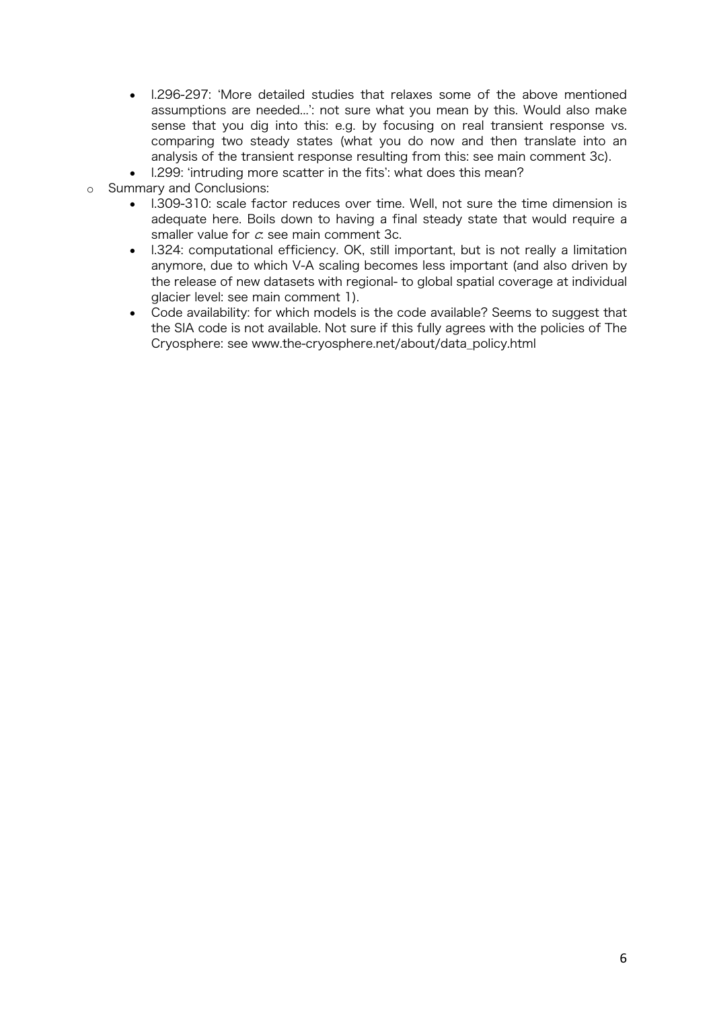- l.296-297: ʻMore detailed studies that relaxes some of the above mentioned assumptions are needed...': not sure what you mean by this. Would also make sense that you dig into this: e.g. by focusing on real transient response vs. comparing two steady states (what you do now and then translate into an analysis of the transient response resulting from this: see main comment 3c).
- l.299: ʻintruding more scatter in the fits': what does this mean?

o Summary and Conclusions:

- l.309-310: scale factor reduces over time. Well, not sure the time dimension is adequate here. Boils down to having a final steady state that would require a smaller value for  $c$ : see main comment 3c.
- l.324: computational efficiency. OK, still important, but is not really a limitation anymore, due to which V-A scaling becomes less important (and also driven by the release of new datasets with regional- to global spatial coverage at individual glacier level: see main comment 1).
- Code availability: for which models is the code available? Seems to suggest that the SIA code is not available. Not sure if this fully agrees with the policies of The Cryosphere: see www.the-cryosphere.net/about/data\_policy.html